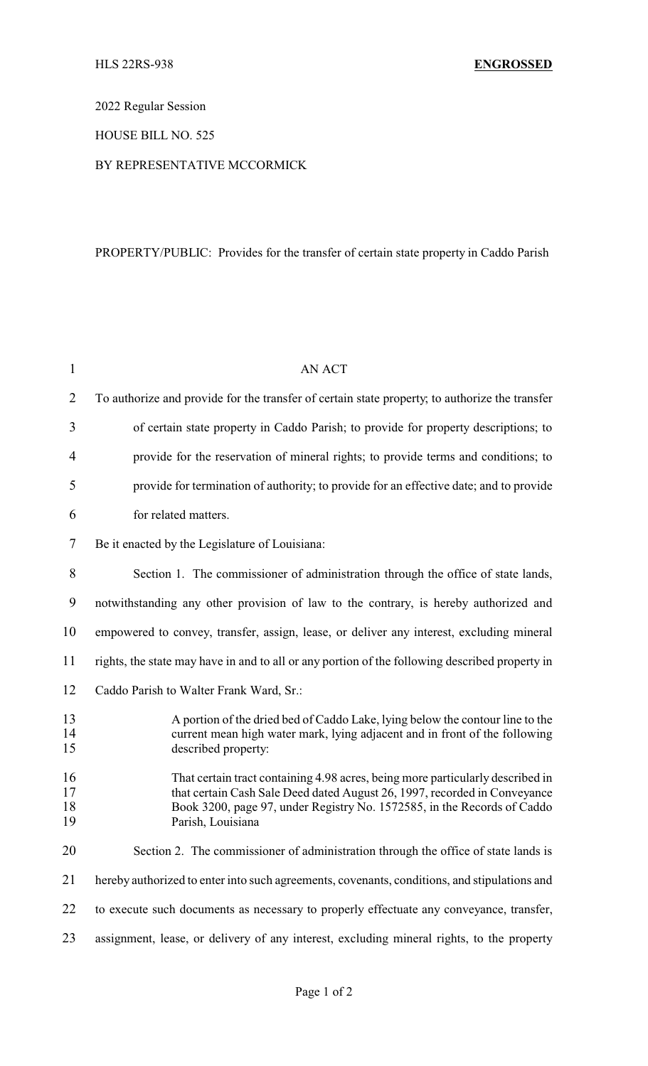2022 Regular Session

### HOUSE BILL NO. 525

#### BY REPRESENTATIVE MCCORMICK

## PROPERTY/PUBLIC: Provides for the transfer of certain state property in Caddo Parish

| $\mathbf{1}$         | <b>AN ACT</b>                                                                                                                                                                                                                                               |
|----------------------|-------------------------------------------------------------------------------------------------------------------------------------------------------------------------------------------------------------------------------------------------------------|
| 2                    | To authorize and provide for the transfer of certain state property, to authorize the transfer                                                                                                                                                              |
| 3                    | of certain state property in Caddo Parish; to provide for property descriptions; to                                                                                                                                                                         |
| 4                    | provide for the reservation of mineral rights; to provide terms and conditions; to                                                                                                                                                                          |
| 5                    | provide for termination of authority; to provide for an effective date; and to provide                                                                                                                                                                      |
| 6                    | for related matters.                                                                                                                                                                                                                                        |
| 7                    | Be it enacted by the Legislature of Louisiana:                                                                                                                                                                                                              |
| 8                    | Section 1. The commissioner of administration through the office of state lands,                                                                                                                                                                            |
| 9                    | notwithstanding any other provision of law to the contrary, is hereby authorized and                                                                                                                                                                        |
| 10                   | empowered to convey, transfer, assign, lease, or deliver any interest, excluding mineral                                                                                                                                                                    |
| 11                   | rights, the state may have in and to all or any portion of the following described property in                                                                                                                                                              |
| 12                   | Caddo Parish to Walter Frank Ward, Sr.:                                                                                                                                                                                                                     |
| 13<br>14<br>15       | A portion of the dried bed of Caddo Lake, lying below the contour line to the<br>current mean high water mark, lying adjacent and in front of the following<br>described property:                                                                          |
| 16<br>17<br>18<br>19 | That certain tract containing 4.98 acres, being more particularly described in<br>that certain Cash Sale Deed dated August 26, 1997, recorded in Conveyance<br>Book 3200, page 97, under Registry No. 1572585, in the Records of Caddo<br>Parish, Louisiana |
| 20                   | Section 2. The commissioner of administration through the office of state lands is                                                                                                                                                                          |
| 21                   | hereby authorized to enter into such agreements, covenants, conditions, and stipulations and                                                                                                                                                                |
| 22                   | to execute such documents as necessary to properly effectuate any conveyance, transfer,                                                                                                                                                                     |
| 23                   | assignment, lease, or delivery of any interest, excluding mineral rights, to the property                                                                                                                                                                   |